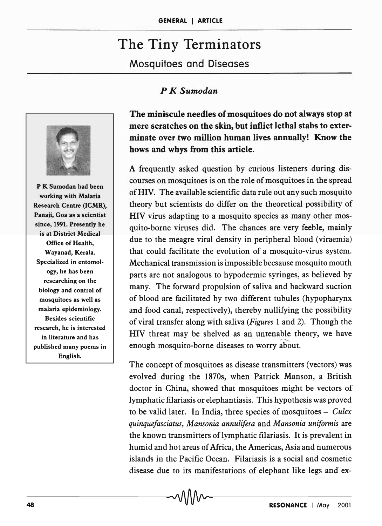# The Tiny Terminators

Mosquitoes and Diseases

## *P K Sumodan*



P K Sumodan had been working with Malaria Research Centre (ICMR), Panaji, Goa as a scientist since, 1991. Presently he is at District Medical Office of Health, Wayanad, Kerala. Specialized in entomology, he has been researching on the biology and control of mosquitoes as well as malaria epidemiology. Besides scientific research, he is interested in literature and has published many poems in English.

The miniscule needles of mosquitoes do not always stop at mere scratches on the skin, but inflict lethal stabs to exterminate over two million human lives annually! Know the hows and whys from this article.

A frequently asked question by curious listeners during discourses on mosquitoes is on the role of mosquitoes in the spread ofHIV. The available scientific data rule out any such mosquito theory but scientists do differ on the theoretical possibility of HIV virus adapting to a mosquito species as many other mosquito-borne viruses did. The chances are very feeble, mainly due to the meagre viral density in peripheral blood (viraemia) that could facilitate the evolution of a mosquito-virus system. Mechanical transmission is impossible becsause mosquito mouth parts are not analogous to hypodermic syringes, as believed by many. The forward propulsion of saliva and backward suction of blood are facilitated by two different tubules (hypopharynx and food canal, respectively), thereby nullifying the possibility of viral transfer along with saliva *(Figures* 1 and 2). Though the HIV threat may be shelved as an untenable theory, we have enough mosquito-borne diseases to worry about.

The concept of mosquitoes as disease transmitters (vectors) was evolved during. the 1870s, when Patrick Manson, a British doctor in China, showed that mosquitoes might be vectors of lymphatic filariasis or elephantiasis. This hypothesis was proved to be valid later. In India, three species of mosquitoes - *Culex quinquefasciatus, Mansonia annuli/era* and *Mansonia uniformis* are the known transmitters of lymphatic filariasis. It is prevalent in humid and hot areas of Africa, the Americas, Asia and numerous islands in the Pacific Ocean. Filariasis is a social and cosmetic disease due to its manifestations of elephant like legs and ex-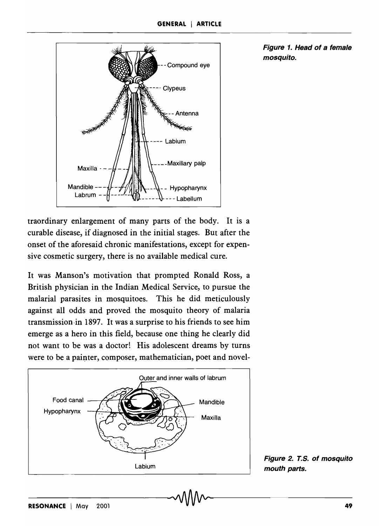

traordinary enlargement of many parts of the body. It is a curable disease, if diagnosed in the initial stages. But after the onset of the aforesaid chronic manifestations, except for expensive cosmetic surgery, there is no available medical cure.

It was Manson's motivation that prompted Ronald Ross, a British physician in the Indian Medical Service, to pursue the malarial parasites in mosquitoes. This he did meticulously against all odds and proved the mosquito theory of malaria transmission·in 1897. It was a surprise to his friends to see him emerge as a hero in this field, because one thing he clearly did not want to be was a doctor! His adolescent dreams by turns were to be a painter, composer, mathematician, poet and novel-



Figure 1. Head of a female mosquito.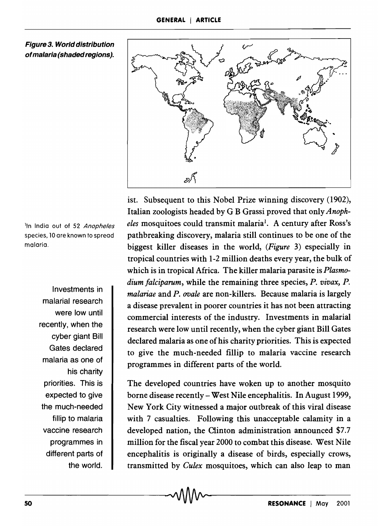

Figure 3. World distribution of malaria (shaded regions).

<sup>1</sup>In India out of 52 Anopheles species, 10 are known to spread malaria.

> Investments in malarial research were low until recently, when the cyber giant Bill Gates declared malaria as one of his charity priorities. This is expected to give the much-needed fillip to malaria vaccine research programmes in different parts of the world.

ist. Subsequent to this Nobel Prize winning discovery (1902), Italian zoologists headed by G B Grassi proved that only *Anopheles* mosquitoes could transmit malaria<sup>1</sup>. A century after Ross's pathbreaking discovery, malaria still continues to be one of the biggest killer diseases in the world, *(Figure* 3) especially in tropical countries with 1-2 million deaths every year, the bulk of which is in tropical Africa. The killer malaria parasite is *Plasmodium falciparum,* while the remaining three species, *P. vivax, P. malariae* and *P. ovale* are non-killers. Because malaria is largely a disease prevalent in poorer countries it has not been attracting commercial interests of the industry. Investments in malarial research were low until recently, when the cyber giant Bill Gates declared malaria as one of his charity priorities. This is expected to give the much-needed fillip to malaria vaccine research programmes in different parts of the world.

The developed countries have woken up to another mosquito borne disease recently- West Nile encephalitis. In August 1999, New York City witnessed a major outbreak of this viral disease with 7 casualties. Following this unacceptable calamity in a developed nation, the Clinton administration announced \$7.7 million for the fiscal year 2000 to combat this disease. West Nile encephalitis is originally a disease of birds, especially crows, transmitted by *Culex* mosquitoes, which can also leap to man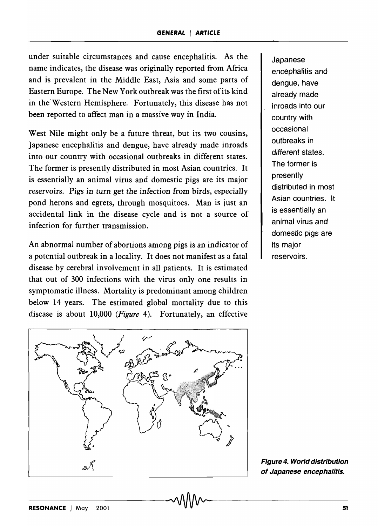under suitable circumstances and cause encephalitis. As the name indicates, the disease was originally reported from Africa and is prevalent in the Middle East, Asia and some parts of Eastern Europe. The New York outbreak was the first of its kind in the Western Hemisphere. Fortunately, this disease has not been reported to affect man in a massive way in India.

West Nile might only be a future threat, but its two cousins, Japanese encephalitis and dengue, have already made inroads into our country with occasional outbreaks in different states. The former is presently distributed in most Asian countries. It is essentially an animal virus and domestic pigs are its major reservoirs. Pigs in turn get the infection from birds, especially pond herons and egrets, through mosquitoes. Man is just an accidental link in the disease cycle and is not a source of infection for further transmission.

An abnormal number of abortions among pigs is an indicator of a potential outbreak in a locality. It does not manifest as a fatal disease by cerebral involvement in all patients. It is estimated that out of 300 infections with the virus only one results in symptomatic illness. Mortality is predominant among children below 14 years. The estimated global mortality due to this disease is about 10,000 *(Figure* 4). Fortunately, an effective



Japanese encephalitis and dengue, have already made inroads into our country with occasional outbreaks in different states. The former is presently distributed in most Asian countries. It is essentially an animal virus and domestic pigs are its major reservoirs.

Figure 4. World distribution of Japanese encephalitis.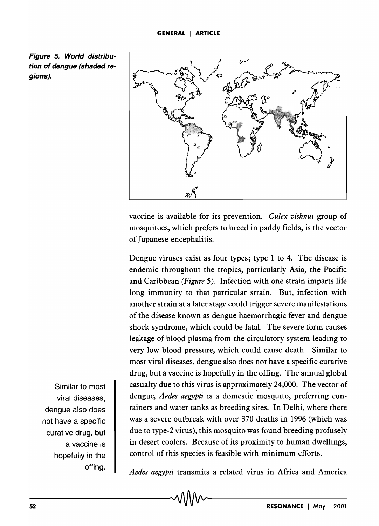Figure 5. World distribution of dengue (shaded regions).



vaccine is available for its prevention. *Culex vishnui* group of mosquitoes, which prefers to breed in paddy fields, is the vector of Japanese encephalitis.

Dengue viruses exist as four types; type 1 to 4. The disease is endemic throughout the tropics, particularly Asia, the Pacific and Caribbean *(Figure* 5). Infection with one strain imparts life long immunity to that particular strain. But, infection with another strain at a later stage could trigger severe manifestations of the disease known as dengue haemorrhagic fever and dengue shock syndrome, which could be fatal. The severe form causes leakage of blood plasma from the circulatory system leading to very low blood pressure, which could cause death. Similar to most viral diseases, dengue also does not have a specific curative drug, but a vaccine is hopefully in the offing. The annual global casualty due to this virus is approximately 24,000. The vector of dengue, *Aedes aegypti* is a domestic mosquito, preferring containers and water tanks as breeding sites. In Delhi, where there was a severe outbreak with over 370 deaths in 1996 (which was due to type-2 virus), this mosquito was found breeding profusely in desert coolers. Because of its proximity to human dwellings, control of this species is feasible with minimum efforts.

Similar to most viral diseases, dengue also does not have a specific curative drug, but a vaccine is hopefully in the offing.

*Aedes aegypti* transmits a related virus in Africa and America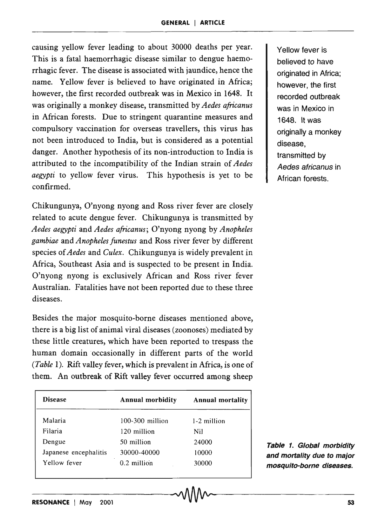causing yellow fever leading to about 30000 deaths per year. This is a fatal haemorrhagic disease similar to dengue haemorrhagic fever. The disease is associated with jaundice, hence the name. Yellow fever is believed to have originated in Africa; however, the first recorded outbreak was in Mexico in 1648. It was originally a monkey disease, transmitted by *Aedes africanus*  in African forests. Due to stringent quarantine measures and compulsory vaccination for overseas travellers, this virus has not been introduced to India, but is considered as a potential danger. Another hypothesis of its non-introduction to India is attributed to the incompatibility of the Indian strain of *Aedes aegypti* to yellow fever virus. This hypothesis is yet to be confirmed.

Chikungunya, O'nyong nyong and Ross river fever are closely related to acute dengue fever. Chikungunya is transmitted by *Aedes aegypti* and *Aedes a{ricanus;* O'nyong nyong by *Anopheles gambiae* and *Anopheles funestus* and Ross river fever by different species of *Aedes* and *Culex.* Chikungunya is widely prevalent in Africa, Southeast Asia and is suspected to be present in India. O'nyong nyong is exclusively African and Ross river fever Australian. Fatalities have not been reported due to these three diseases.

Besides the major mosquito-borne diseases mentioned above, there is a big list of animal viral diseases (zoonoses) mediated by these little creatures, which have been reported to trespass the human domain 'occasionally in different parts of the world *(Table* 1). Rift valley fever, which is prevalent in Africa, is one of them. An outbreak of Rift valley fever occurred among sheep

| <b>Disease</b>        | <b>Annual morbidity</b> | <b>Annual mortality</b> |
|-----------------------|-------------------------|-------------------------|
| Malaria               | $100-300$ million       | 1-2 million             |
| Filaria               | 120 million             | Nil                     |
| Dengue                | 50 million              | 24000                   |
| Japanese encephalitis | 30000-40000             | 10000                   |
| Yellow fever          | 0.2 million             | 30000                   |

 $-VUVV$ 

Yellow fever is believed to have originated in Africa; however, the first recorded outbreak was in Mexico in 1648. It was originally a monkey disease, transmitted by Aedes africanus in African forests.

Table 1. Global morbidity and mortality due to major mosquito-borne diseases.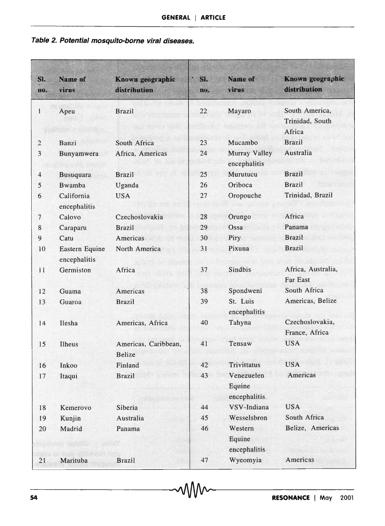### **Table 2. Potential mosquito-borne viral diseases.**

| SI.<br>no.     | <b>Name of</b><br>virus        | Known geographic<br>distribution | B<br>SL<br>no. | Name of<br>virus                     | Known geographic<br>distribution            |
|----------------|--------------------------------|----------------------------------|----------------|--------------------------------------|---------------------------------------------|
| $\mathbf{1}$   | Apeu                           | <b>Brazil</b>                    | 22             | Mayaro                               | South America,<br>Trinidad, South<br>Africa |
| $\sqrt{2}$     | Banzi                          | South Africa                     | 23             | Mucambo                              | <b>Brazil</b>                               |
| 3              | Bunyamwera                     | Africa, Americas                 | 24             | Murray Valley<br>encephalitis        | Australia                                   |
| $\overline{4}$ | <b>Busuquara</b>               | <b>Brazil</b>                    | 25             | Murutucu                             | <b>Brazil</b>                               |
| 5              | Bwamba                         | Uganda                           | 26             | Oriboca                              | <b>Brazil</b>                               |
| 6              | California<br>encephalitis     | <b>USA</b>                       | 27             | Oropouche                            | Trinidad, Brazil                            |
| 7              | Calovo                         | Czechoslovakia                   | 28             | Orungo                               | Africa                                      |
| 8              | Caraparu                       | <b>Brazil</b>                    | 29             | Ossa                                 | Panama                                      |
| 9              | Catu                           | Americas                         | 30             | Piry                                 | <b>Brazil</b>                               |
| 10             | Eastern Equine<br>encephalitis | North America                    | 31             | Pixuna                               | <b>Brazil</b>                               |
| 11             | Germiston                      | Africa                           | 37             | Sindbis                              | Africa, Australia,<br>Far East              |
| 12             | Guama                          | Americas                         | 38             | Spondweni                            | South Africa                                |
| 13             | Guaroa                         | <b>Brazil</b>                    | 39             | St. Luis<br>encephalitis             | Americas, Belize                            |
| 14             | Ilesha                         | Americas, Africa                 | 40             | Tahyna                               | Czechoslovakia,<br>France, Africa           |
| 15             | Ilheus                         | Americas, Caribbean,<br>Belize   | 41             | Tensaw                               | <b>USA</b>                                  |
| 16             | Inkoo                          | Finland                          | 42             | <b>Trivittatus</b>                   | <b>USA</b>                                  |
| 17             | Itaqui                         | <b>Brazil</b>                    | 43             | Venezuelen<br>Equine<br>encephalitis | Americas                                    |
| 18             | Kemerovo                       | Siberia                          | 44             | VSV-Indiana                          | <b>USA</b>                                  |
| 19             | Kunjin                         | Australia                        | 45             | Wesselsbron                          | South Africa                                |
| 20             | Madrid                         | Panama                           | 46             | Western<br>Equine<br>encephalitis    | Belize, Americas                            |
| 21             | Marituba                       | <b>Brazil</b>                    | 47             | Wyeomyia                             | Americas                                    |